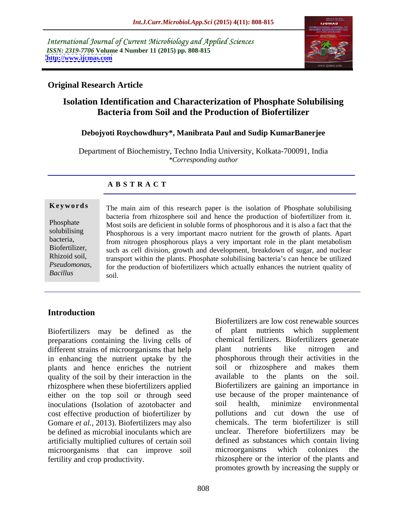International Journal of Current Microbiology and Applied Sciences *ISSN: 2319-7706* **Volume 4 Number 11 (2015) pp. 808-815 <http://www.ijcmas.com>**



## **Original Research Article**

## **Isolation Identification and Characterization of Phosphate Solubilising Bacteria from Soil and the Production of Biofertilizer**

## **Debojyoti Roychowdhury\*, Manibrata Paul and Sudip KumarBanerjee**

Department of Biochemistry, Techno India University, Kolkata-700091, India *\*Corresponding author*

## **A B S T R A C T**

*Bacillus*

The main aim of this research paper is the isolation of Phosphate solubilising bacteria from rhizosphere soil and hence the production of biofertilizer from it. Phosphate Most soils are deficient in soluble forms of phosphorous and it is also a fact that the solubilising Phosphorous is a very important macro nutrient for the growth of plants. Apart from nitrogen phosphorous plays a very important role in the plant metabolism bacteria, Biofertilizer, such as cell division, growth and development, breakdown of sugar, and nuclear Rhizoid soil, transport within the plants. Phosphate solubilising bacteria's can hence be utilized for the production of biofertilizers which actually enhances the nutrient quality of *Pseudomonas*, **Keywords**<br>
The main aim of this research paper is the isolation of Phosphate solubilising<br>
bacteria from rhizosphere soil and hence the production of biofertilizer from it.<br>
Phosphate<br>
solubilising<br>
Explore the solubilisi

## **Introduction**

Biofertilizers may be defined as the preparations containing the living cells of chemical fertilizers. Biofertilizers geolifferent strains of microorganisms that help plant nutrients like nitrogen different strains of microorganisms that help blant nutrients like nitrogen and in enhancing the nutrient uptake by the plants and hence enriches the nutrient soil or rhizosphere and makes them quality of the soil by their interaction in the rhizosphere when these biofertilizers applied either on the top soil or through seed inoculations (Isolation of azotobacter and soil health, minimize environmental cost effective production of biofertilizer by Gomare *et al.,* 2013). Biofertilizers may also be defined as microbial inoculants which are artificially multiplied cultures of certain soil microorganisms that can improve soil microorganisms which colonizes the

fertility and crop productivity. rhizosphere or the interior of the plants and Biofertilizers are low cost renewable sources of plant nutrients which supplement chemical fertilizers. Biofertilizers generate plant nutrients like nitrogen and phosphorous through their activities in the soil or rhizosphere and makes them available to the plants on the soil. Biofertilizers are gaining an importance in use because of the proper maintenance of soil health, minimize environmental pollutions and cut down the use of chemicals. The term biofertilizer is still unclear. Therefore biofertilizers may be defined as substances which contain living microorganisms which colonizes the promotes growth by increasing the supply or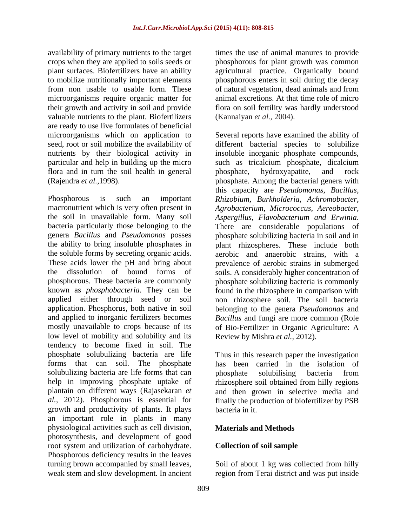availability of primary nutrients to the target crops when they are applied to soils seeds or phosphorous for plant growth was common plant surfaces. Biofertilizers have an ability agricultural practice. Organically bound to mobilize nutritionally important elements phosphorous enters in soil during the decay from non usable to usable form. These of natural vegetation, dead animals and from microorganisms require organic matter for their growth and activity in soil and provide flora on soil fertility was hardly understood valuable nutrients to the plant. Biofertilizers (Kannaiyan et al., 2004). are ready to use live formulates of beneficial flora and in turn the soil health in general phosphate, hydroxyapatite, and rock

the soil in unavailable form. Many soil *Aspergillus, Flavobacterium and Erwinia*. bacteria particularly those belonging to the<br>
genera Bacillus and Pseudomonas posses<br>
bosphate solubilizing bacteria in soil and in low level of mobility and solubility and its tendency to become fixed in soil. The phosphate solubulizing bacteria are life Thus in this research paper the investigation forms that can soil. The phosphate has been carried in the isolation of solubulizing bacteria are life forms that can bhosphate solubilising bacteria from help in improving phosphate uptake of rhizosphere soil obtained from hilly regions plantain on different ways (Rajasekaran *et*  and then grown in selective media and *al.,* 2012). Phosphorous is essential for growth and productivity of plants. It plays an important role in plants in many physiological activities such as cell division, photosynthesis, and development of good root system and utilization of carbohydrate. Phosphorous deficiency results in the leaves turning brown accompanied by small leaves, Soil of about 1 kg was collected from hilly weak stem and slow development. In ancient region from Terai district and was put inside

times the use of animal manures to provide animal excretions. At that time role of micro (Kannaiyan *et al.,* 2004).

microorganisms which on application to Several reports have examined the ability of seed, root or soil mobilize the availability of different bacterial species to solubilize nutrients by their biological activity in insoluble inorganic phosphate compounds, particular and help in building up the micro such astricalcium phosphate, dicalcium (Rajendra *et al.,*1998). phosphate. Among the bacterial genera with Phosphorous is such an important *Rhizobium, Burkholderia, Achromobacter,* macronutrient which is very often present in *Agrobacterium, Micrococcus, Aereobacter,* genera *Bacillus* and *Pseudomonas* posses phosphate solubilizing bacteria in soil and in the ability to bring insoluble phosphates in plant rhizospheres. These include both the soluble forms by secreting organic acids. aerobic and anaerobic strains, with a These acids lower the pH and bring about prevalence of aerobic strains in submerged the dissolution of bound forms of soils. A considerably higher concentration of phosphorous. These bacteria are commonly phosphate solubilizing bacteria iscommonly known as *phosphobacteria*. They can be found in the rhizosphere in comparison with applied either through seed or soil non rhizosphere soil. The soil bacteria application. Phosphorus, both native in soil belonging to the genera *Pseudomonas* and and applied to inorganic fertilizers becomes *Bacillus* and fungi are more common (Role mostly unavailable to crops because of its of Bio-Fertilizer in Organic Agriculture: A phosphate, hydroxyapatite, and rock this capacity are *Pseudomonas, Bacillus, Aspergillus, Flavobacterium and Erwinia*. There are considerable populations of Review by Mishra *et al.,* 2012).

> phosphate solubilising bacteria from finally the production of biofertilizer by PSB bacteria in it.

## **Materials and Methods**

## **Collection of soil sample**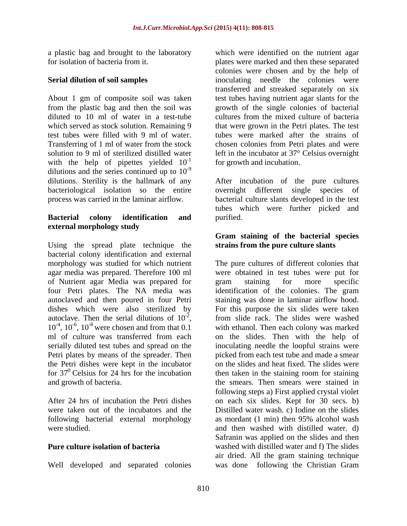About 1 gm of composite soil was taken diluted to 10 ml of water in a test-tube cultures from the mixed culture of bacteria with the help of pipettes yielded  $10^{-1}$ dilutions and the series continued up to  $10^{-9}$ -9 dilutions. Sterility is the hallmark of any After incubation of the pure cultures bacteriological isolation so the entire overnight different single species of process was carried in the laminar airflow. bacterial culture slants developed in the test

## **Bacterial colony identification and external morphology study**

Using the spread plate technique the bacterial colony identification and external morphology was studied for which nutrient The pure cultures of different colonies that agar media was prepared. Therefore 100 ml were obtained in test tubes were put for of Nutrient agar Media was prepared for four Petri plates. The NA media was identification of the colonies. The gram autoclaved and then poured in four Petri staining was done in laminar airflow hood. dishes which were also sterilized by autoclave. Then the serial dilutions of  $10^2$ , autoclave. Then the serial dilutions of  $10^{-2}$ , from slide rack. The slides were washed  $10^{-4}$ ,  $10^{-6}$ ,  $10^{-8}$  were chosen and from that 0.1<br>ml of culture was transferred from each ml of culture was transferred from each on the slides. Then with the help of serially diluted test tubes and spread on the inoculating needle the loopful strains were Petri plates by means of the spreader. Then the Petri dishes were kept in the incubator<br>for  $37^0$  Celsius for 24 hrs for the incubation for  $37^\circ$  Celsius for 24 hrs for the incubation then taken in the staining room for staining

following bacterial external morphology as mordant  $(1 \text{ min})$  then 95% alcohol wash

Well developed and separated colonies was done following the Christian Gram

a plastic bag and brought to the laboratory which were identified on the nutrient agar for isolation of bacteria from it. plates were marked and then these separated **Serial dilution of soil samples inoculating** needle the colonies were from the plastic bag and then the soil was growth of the single colonies of bacterial which served as stock solution. Remaining 9 that were grown in the Petri plates. The test test tubes were filled with 9 ml of water. tubes were marked after the strains of Transferring of 1 ml of water from the stock chosen colonies from Petri plates and were solution to 9 ml of sterilized distilled water left in the incubator at 37° Celsius overnight <sup>-1</sup> for growth and incubation. colonies were chosen and by the help of transferred and streaked separately on six test tubes having nutrient agar slants for the cultures from the mixed culture of bacteria

> overnight different single species tubes which were further picked and purified.

## **Gram staining of the bacterial species strains from the pure culture slants**

,  $10^{-6}$ ,  $10^{-8}$  were chosen and from that 0.1 with ethanol. Then each colony was marked and growth of bacteria. the smears. Then smears were stained in After 24 hrs of incubation the Petri dishes on each six slides. Kept for 30 secs. b) were taken out of the incubators and the Distilled water wash. c) Iodine on the slides were studied. and then washed with distilled water. d) **Pure culture isolation of bacteria** washed with distilled water and f) The slides gram staining for more specific For this purpose the six slides were taken picked from each test tube and made a smear on the slides and heat fixed. The slides were following steps a) First applied crystal violet as mordant (1 min) then 95% alcohol wash Safranin was applied on the slides and then air dried. All the gram staining technique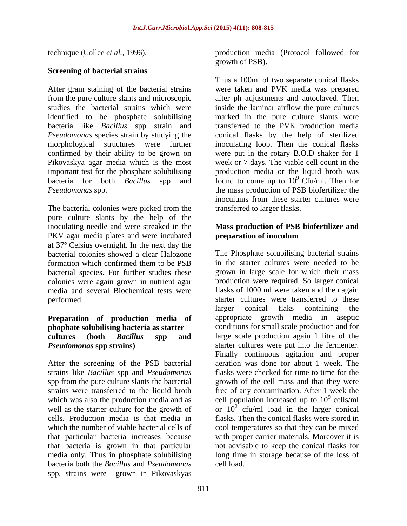## **Screening of bacterial strains**

After gram staining of the bacterial strains from the pure culture slants and microscopic after ph adjustments and autoclaved. Then studies the bacterial strains which were inside the laminar airflow the pure cultures identified to be phosphate solubilising marked in the pure culture slants were bacteria like *Bacillus* spp strain and transferred to the PVK production media *Pseudomonas* species strain by studying the conical flasks by the help of sterilized morphological structures were further inoculating loop. Then the conical flasks confirmed by their ability to be grown on were put in the rotary B.O.D shaker for 1 Pikovaskya agar media which is the most important test for the phosphate solubilising bacteria for both *Bacillus* spp and found to come up to 10<sup>9</sup> Cfu/ml. Then for *Pseudomonas* spp. the mass production of PSB biofertilizer the

The bacterial colonies were picked from the pure culture slants by the help of the inoculating needle and were streaked in the **Mass production of PSB biofertilizer and** PKV agar media plates and were incubated **preparation of inoculum** at 37° Celsius overnight. In the next day the bacterial species. For further studies these colonies were again grown in nutrient agar

## **Preparation of production media of phophate solubilising bacteria as starter**

After the screening of the PSB bacterial strains like *Bacillus* spp and *Pseudomonas*  spp from the pure culture slants the bacterial bacteria both the *Bacillus* and *Pseudomonas* spp. strains were grown in Pikovaskyas

technique (Collee *et al.,* 1996). production media (Protocol followed for growth of PSB).

> Thus a 100ml of two separate conical flasks were taken and PVK media was prepared week or 7 days. The viable cell count in the production media or the liquid broth was 9 Cfu/ml. Then for inoculums from these starter cultures were transferred to larger flasks.

# **preparation of inoculum**

bacterial colonies showed a clear Halozone The Phosphate solubilising bacterial strains formation which confirmed them to be PSB media and several Biochemical tests were flasks of 1000 ml were taken and then again performed. starter cultures were transferred to these **cultures (both** *Bacillus* **spp and** large scale production again 1 litre of the *Pseudomonas* spp strains) starter cultures were put into the fermenter. strains were transferred to the liquid broth free of any contamination. After 1 week the which was also the production media and as  $\qquad$  cell population increased up to  $10^9$  cells/ml well as the starter culture for the growth of or  $10^9$  cfu/ml load in the larger conical cells. Production media is that media in flasks. Then the conical flasks were stored in which the number of viable bacterial cells of cool temperatures so that they can be mixed that particular bacteria increases because with proper carrier materials. Moreover it is that bacteria is grown in that particular not advisable to keep the conical flasks for media only. Thus in phosphate solubilising long time in storage because of the loss of in the starter cultures were needed to be grown in large scale for which their mass production were required. So larger conical larger conical flaks containing the appropriate growth media in aseptic conditions for small scale production and for Finally continuous agitation and proper aeration was done for about 1 week. The flasks were checked for time to time for the growth of the cell mass and that they were  $9 \text{ collapse/m}$ cells/ml cell load.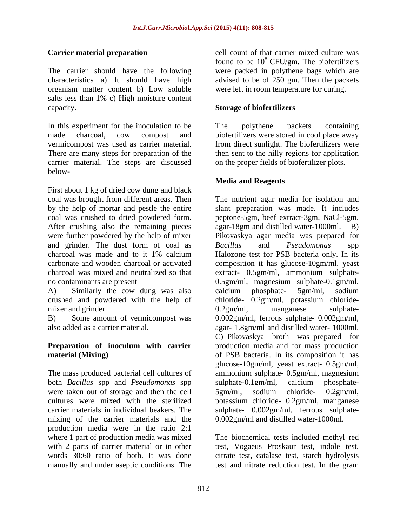The carrier should have the following were packed in polythene bags which are characteristics a) It should have high advised to be of 250 gm. Then the packets organism matter content b) Low soluble salts less than 1% c) High moisture content capacity. **Storage of biofertilizers**

In this experiment for the inoculation to be The polythene packets containing made charcoal, cow compost and biofertilizers were stored in cool place away vermicompost was used as carrier material. There are many steps for preparation of the then sent to the hilly regions for application carrier material. The steps are discussed below-

First about 1 kg of dried cow dung and black After crushing also the remaining pieces agar-18gm and distilled water-1000ml. B) and grinder. The dust form of coal as Bacillus and Pseudomonas spp no contaminants are present 0.5gm/ml, magnesium sulphate-0.1gm/ml,

crushed and powdered with the help of mixer and grinder.  $0.2gm/ml$ , manganese sulphate-

B) Some amount of vermicompost was 0.002gm/ml, ferrous sulphate- 0.002gm/ml, also added as a carrier material.

## **material (Mixing)** of PSB bacteria. In its composition it has

The mass produced bacterial cell cultures of both *Bacillus* spp and *Pseudomonas* spp were taken out of storage and then the cell  $5gm/ml$ , sodium chloride-  $0.2gm/ml$ , cultures were mixed with the sterilized potassium chloride- 0.2gm/ml, manganese mixing of the carrier materials and the production media were in the ratio 2:1 where 1 part of production media was mixed The biochemical tests included methyl red with 2 parts of carrier material or in other test, Vogaeus Proskaur test, indole test, words 30:60 ratio of both. It was done citrate test, catalase test, starch hydrolysis

**Carrier material preparation** cell count of that carrier mixed culture was found to be  $10^8$  CFU/gm. The biofertilizers were left in room temperature for curing.

The polythene packets containing from direct sunlight. The biofertilizers were on the proper fields of biofertilizer plots.

## **Media and Reagents**

coal was brought from different areas. Then The nutrient agar media for isolation and by the help of mortar and pestle the entire slant preparation was made. It includes coal was crushed to dried powdered form. peptone-5gm, beef extract-3gm, NaCl-5gm, were further powdered by the help of mixer Pikovaskya agar media was prepared for charcoal was made and to it 1% calcium carbonate and wooden charcoal or activated composition it has glucose-10gm/ml, yeast charcoal was mixed and neutralized so that extract- 0.5gm/ml, ammonium sulphate- A) Similarly the cow dung was also calcium phosphate- 5gm/ml, sodium **Preparation of inoculum with carrier** production media and for mass production carrier materials in individual beakers. The sulphate- 0.002gm/ml, ferrous sulphate agar-18gm and distilled water-1000ml. *Bacillus* and *Pseudomonas* spp Halozone test for PSB bacteria only. In its 0.5gm/ml, magnesium sulphate-0.1gm/ml, calcium phosphate- 5gm/ml, sodium chloride- 0.2gm/ml, potassium chloride- 0.2gm/ml, manganese sulphate- 0.002gm/ml, ferrous sulphate- 0.002gm/ml, agar- 1.8gm/ml and distilled water- 1000ml. C) Pikovaskya broth was prepared for of PSB bacteria. In its composition it has glucose-10gm/ml, yeast extract- 0.5gm/ml, ammonium sulphate- 0.5gm/ml, magnesium sulphate-0.1gm/ml, calcium phosphate- 5gm/ml, sodium chloride- 0.2gm/ml, potassium chloride- 0.2gm/ml, manganese 0.002gm/ml and distilled water-1000ml.

manually and under aseptic conditions. The test and nitrate reduction test. In the gram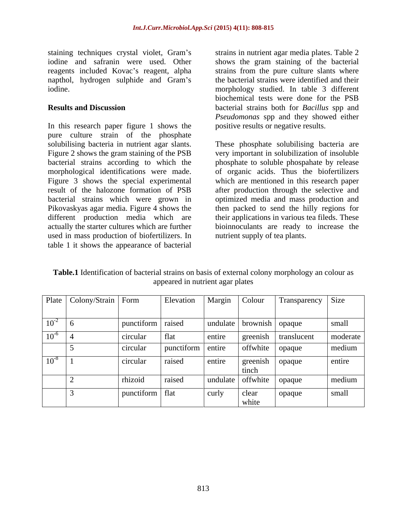staining techniques crystal violet, Gram's iodine and safranin were used. Other shows the gram staining of the bacterial reagents included Kovac's reagent, alpha strains from the pure culture slants where napthol, hydrogen sulphide and Gram's the bacterial strains were identified and their

In this research paper figure 1 shows the pure culture strain of the phosphate solubilising bacteria in nutrient agar slants. These phosphate solubilising bacteria are Figure 2 shows the gram staining of the PSB very important in solubilization of insoluble bacterial strains according to which the phosphate to soluble phospahate by release morphological identifications were made. of organic acids. Thus the biofertilizers Figure 3 shows the special experimental result of the halozone formation of PSB after production through the selective and bacterial strains which were grown in optimized media and mass production and Pikovaskyas agar media. Figure 4 shows the then packed to send the hilly regions for different production media which are actually the starter cultures which are further used in mass production of biofertilizers. In table 1 it shows the appearance of bacterial

iodine. morphology studied. In table 3 different **Results and Discussion** bacterial strains both for *Bacillus* spp and strains in nutrient agar media plates. Table 2 biochemical tests were done for the PSB *Pseudomonas* spp and they showed either positive results or negative results.

> which are mentioned in this research paper their applications in various tea fileds. These bioinnoculants are ready to increase the nutrient supply of tea plants.

**Table.1** Identification of bacterial strains on basis of external colony morphology an colour as appeared in nutrient agar plates

| Plate   Colony/Strain   Form |                                 | Elevation   Margin   Colour |        |                          | Transparency Size    |          |
|------------------------------|---------------------------------|-----------------------------|--------|--------------------------|----------------------|----------|
| $\boxed{10^{-2} \quad 6}$    | punctiform raised               |                             |        | undulate brownish opaque |                      | small    |
| $10^{-6}$                    | circular                        | Hat                         | entire |                          | greenish translucent | moderate |
|                              | circular                        | punctiform entire           |        | offwhite $\log$          |                      | medium   |
| $10^{-8}$                    | $ $ circular                    | raised                      | entire | tinch                    | greenish   opaque    | entire   |
|                              | rhizoid                         | raised                      |        | undulate offwhite opaque |                      | medium   |
|                              | $\vert$ punctiform $\vert$ flat |                             | curly  | clear<br>white           | opaque               | small    |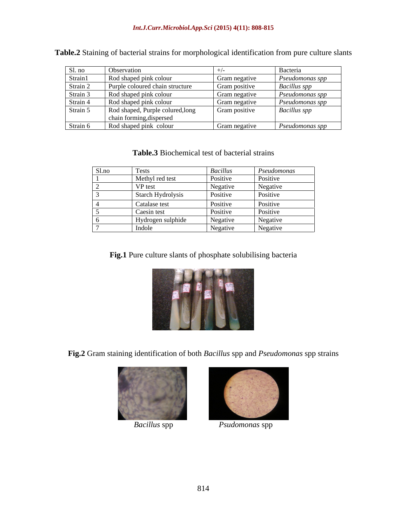| Sl. no   | Observation                                                  |               | Bacteria               |
|----------|--------------------------------------------------------------|---------------|------------------------|
| Strain1  | Rod shaped pink colour                                       | Gram negative | $\mid$ Pseudomonas spp |
| Strain   | Purple coloured chain structure                              | Gram positive | <b>Bacillus</b> spp    |
| Strain   | Rod shaped pink colour                                       | Gram negative | <i>Pseudomonas spp</i> |
| Strain   | Rod shaped pink colour                                       | Gram negative | Pseudomonas spp        |
| Strain 5 | Rod shaped, Purple colured, long<br>chain forming, dispersed | Gram positive | <b>Bacillus</b> spp    |
| Strain 6 | Rod shaped pink colour                                       | Gram negative | Pseudomonas spp        |

**Table.2** Staining of bacterial strains for morphological identification from pure culture slants

### **Table.3** Biochemical test of bacterial strains

| Sl.no | <b>Tests</b>      | <b>Bacillus</b> | Pseudomonas |
|-------|-------------------|-----------------|-------------|
|       | Methyl red test   | Positive        | Positive    |
|       | VP test           | Negative        | Negative    |
|       | Starch Hydrolysis | Positive        | Positive    |
|       | Catalase test     | Positive        | Positive    |
|       | Caesin test       | Positive        | Positive    |
|       | Hydrogen sulphide | Negative        | Negative    |
|       | Indole            | Negative        | Negative    |

**Fig.1** Pure culture slants of phosphate solubilising bacteria



**Fig.2** Gram staining identification of both *Bacillus* spp and *Pseudomonas* spp strains





*Bacillus* spp *Psudomonas* spp